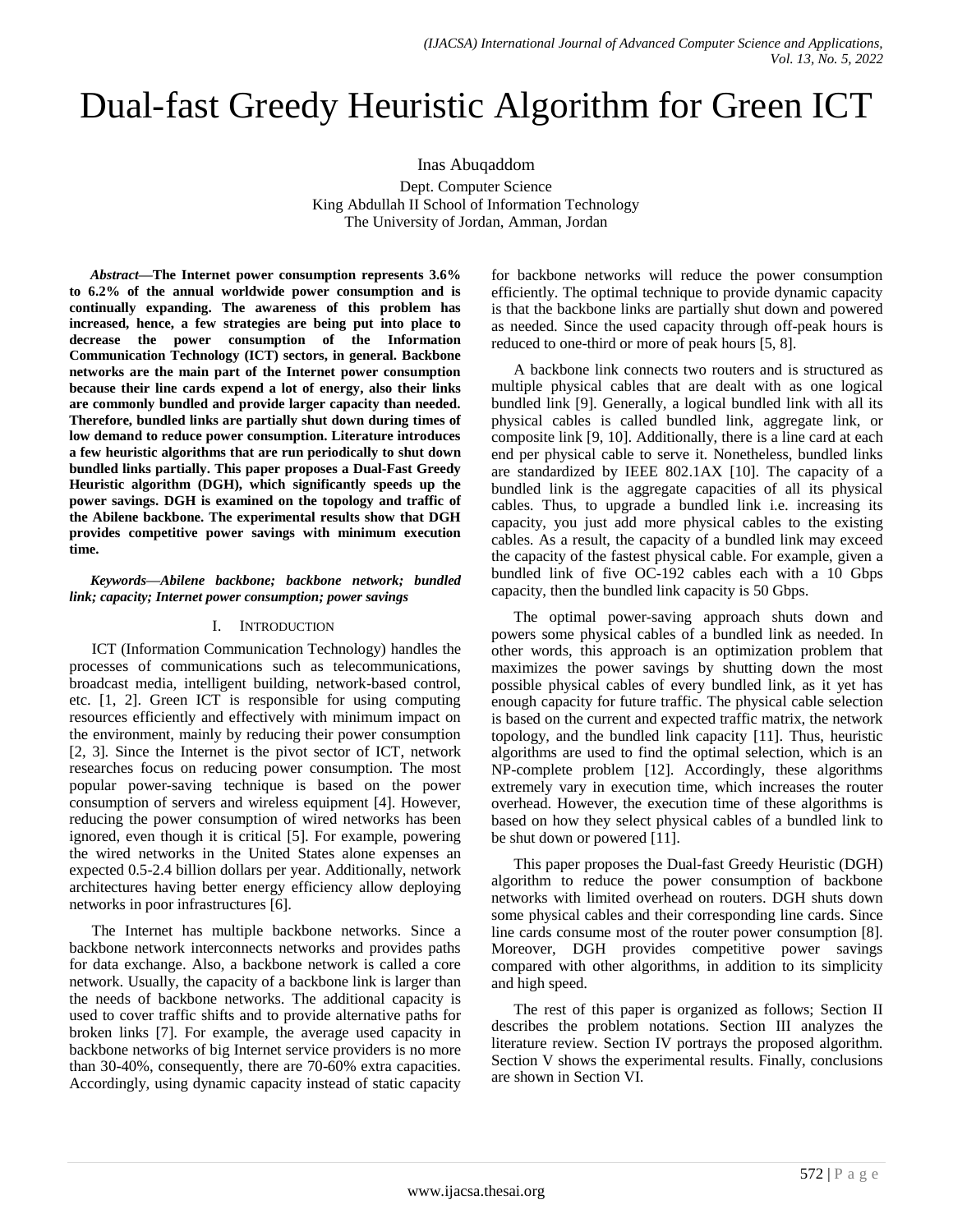# Dual-fast Greedy Heuristic Algorithm for Green ICT

Inas Abuqaddom

Dept. Computer Science King Abdullah II School of Information Technology The University of Jordan, Amman, Jordan

*Abstract—***The Internet power consumption represents 3.6% to 6.2% of the annual worldwide power consumption and is continually expanding. The awareness of this problem has increased, hence, a few strategies are being put into place to decrease the power consumption of the Information Communication Technology (ICT) sectors, in general. Backbone networks are the main part of the Internet power consumption because their line cards expend a lot of energy, also their links are commonly bundled and provide larger capacity than needed. Therefore, bundled links are partially shut down during times of low demand to reduce power consumption. Literature introduces a few heuristic algorithms that are run periodically to shut down bundled links partially. This paper proposes a Dual-Fast Greedy Heuristic algorithm (DGH), which significantly speeds up the power savings. DGH is examined on the topology and traffic of the Abilene backbone. The experimental results show that DGH provides competitive power savings with minimum execution time.**

### *Keywords—Abilene backbone; backbone network; bundled link; capacity; Internet power consumption; power savings*

# I. INTRODUCTION

ICT (Information Communication Technology) handles the processes of communications such as telecommunications, broadcast media, intelligent building, network-based control, etc. [1, 2]. Green ICT is responsible for using computing resources efficiently and effectively with minimum impact on the environment, mainly by reducing their power consumption [2, 3]. Since the Internet is the pivot sector of ICT, network researches focus on reducing power consumption. The most popular power-saving technique is based on the power consumption of servers and wireless equipment [4]. However, reducing the power consumption of wired networks has been ignored, even though it is critical [5]. For example, powering the wired networks in the United States alone expenses an expected 0.5-2.4 billion dollars per year. Additionally, network architectures having better energy efficiency allow deploying networks in poor infrastructures [6].

The Internet has multiple backbone networks. Since a backbone network interconnects networks and provides paths for data exchange. Also, a backbone network is called a core network. Usually, the capacity of a backbone link is larger than the needs of backbone networks. The additional capacity is used to cover traffic shifts and to provide alternative paths for broken links [7]. For example, the average used capacity in backbone networks of big Internet service providers is no more than 30-40%, consequently, there are 70-60% extra capacities. Accordingly, using dynamic capacity instead of static capacity for backbone networks will reduce the power consumption efficiently. The optimal technique to provide dynamic capacity is that the backbone links are partially shut down and powered as needed. Since the used capacity through off-peak hours is reduced to one-third or more of peak hours [5, 8].

A backbone link connects two routers and is structured as multiple physical cables that are dealt with as one logical bundled link [9]. Generally, a logical bundled link with all its physical cables is called bundled link, aggregate link, or composite link [9, 10]. Additionally, there is a line card at each end per physical cable to serve it. Nonetheless, bundled links are standardized by IEEE 802.1AX [10]. The capacity of a bundled link is the aggregate capacities of all its physical cables. Thus, to upgrade a bundled link i.e. increasing its capacity, you just add more physical cables to the existing cables. As a result, the capacity of a bundled link may exceed the capacity of the fastest physical cable. For example, given a bundled link of five OC-192 cables each with a 10 Gbps capacity, then the bundled link capacity is 50 Gbps.

The optimal power-saving approach shuts down and powers some physical cables of a bundled link as needed. In other words, this approach is an optimization problem that maximizes the power savings by shutting down the most possible physical cables of every bundled link, as it yet has enough capacity for future traffic. The physical cable selection is based on the current and expected traffic matrix, the network topology, and the bundled link capacity [11]. Thus, heuristic algorithms are used to find the optimal selection, which is an NP-complete problem [12]. Accordingly, these algorithms extremely vary in execution time, which increases the router overhead. However, the execution time of these algorithms is based on how they select physical cables of a bundled link to be shut down or powered [11].

This paper proposes the Dual-fast Greedy Heuristic (DGH) algorithm to reduce the power consumption of backbone networks with limited overhead on routers. DGH shuts down some physical cables and their corresponding line cards. Since line cards consume most of the router power consumption [8]. Moreover, DGH provides competitive power savings compared with other algorithms, in addition to its simplicity and high speed.

The rest of this paper is organized as follows; Section II describes the problem notations. Section III analyzes the literature review. Section IV portrays the proposed algorithm. Section V shows the experimental results. Finally, conclusions are shown in Section VI.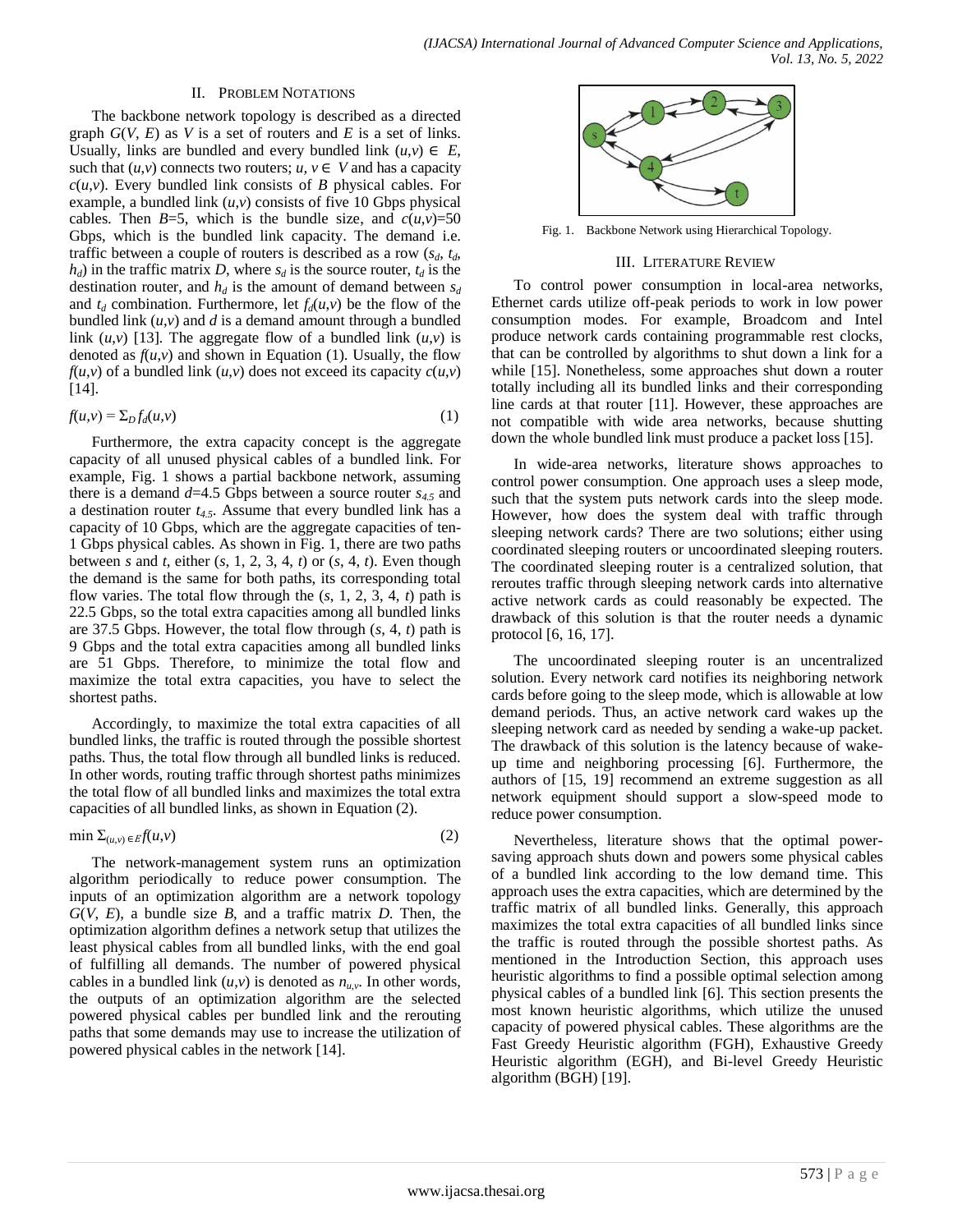#### II. PROBLEM NOTATIONS

The backbone network topology is described as a directed graph *G*(*V*, *E*) as *V* is a set of routers and *E* is a set of links. Usually, links are bundled and every bundled link  $(u, v) \in E$ , such that  $(u, v)$  connects two routers;  $u, v \in V$  and has a capacity  $c(u, v)$ . Every bundled link consists of *B* physical cables. For example, a bundled link  $(u, v)$  consists of five 10 Gbps physical cables. Then  $B=5$ , which is the bundle size, and  $c(u,v)=50$ Gbps, which is the bundled link capacity. The demand i.e. traffic between a couple of routers is described as a row  $(s_d, t_d, t_d)$  $h_d$ ) in the traffic matrix *D*, where  $s_d$  is the source router,  $t_d$  is the destination router, and  $h_d$  is the amount of demand between  $s_d$ and  $t_d$  combination. Furthermore, let  $f_d(u,v)$  be the flow of the bundled link (*u*,*v*) and *d* is a demand amount through a bundled link  $(u, v)$  [13]. The aggregate flow of a bundled link  $(u, v)$  is denoted as  $f(u,v)$  and shown in Equation (1). Usually, the flow  $f(u,v)$  of a bundled link  $(u,v)$  does not exceed its capacity  $c(u,v)$ [14].

$$
f(u,v) = \sum_{D} f_d(u,v) \tag{1}
$$

Furthermore, the extra capacity concept is the aggregate capacity of all unused physical cables of a bundled link. For example, Fig. 1 shows a partial backbone network, assuming there is a demand *d*=4.5 Gbps between a source router *s4.5* and a destination router *t4.5*. Assume that every bundled link has a capacity of 10 Gbps, which are the aggregate capacities of ten-1 Gbps physical cables. As shown in Fig. 1, there are two paths between *s* and *t*, either  $(s, 1, 2, 3, 4, t)$  or  $(s, 4, t)$ . Even though the demand is the same for both paths, its corresponding total flow varies. The total flow through the (*s*, 1, 2, 3, 4, *t*) path is 22.5 Gbps, so the total extra capacities among all bundled links are 37.5 Gbps. However, the total flow through (*s*, 4, *t*) path is 9 Gbps and the total extra capacities among all bundled links are 51 Gbps. Therefore, to minimize the total flow and maximize the total extra capacities, you have to select the shortest paths.

Accordingly, to maximize the total extra capacities of all bundled links, the traffic is routed through the possible shortest paths. Thus, the total flow through all bundled links is reduced. In other words, routing traffic through shortest paths minimizes the total flow of all bundled links and maximizes the total extra capacities of all bundled links, as shown in Equation (2).

$$
\min \sum_{(u,v) \in \mathcal{E}} f(u,v) \tag{2}
$$

The network-management system runs an optimization algorithm periodically to reduce power consumption. The inputs of an optimization algorithm are a network topology *G*(*V*, *E*), a bundle size *B*, and a traffic matrix *D*. Then, the optimization algorithm defines a network setup that utilizes the least physical cables from all bundled links, with the end goal of fulfilling all demands. The number of powered physical cables in a bundled link  $(u, v)$  is denoted as  $n_{u,v}$ . In other words, the outputs of an optimization algorithm are the selected powered physical cables per bundled link and the rerouting paths that some demands may use to increase the utilization of powered physical cables in the network [14].



Fig. 1. Backbone Network using Hierarchical Topology.

### III. LITERATURE REVIEW

To control power consumption in local-area networks, Ethernet cards utilize off-peak periods to work in low power consumption modes. For example, Broadcom and Intel produce network cards containing programmable rest clocks, that can be controlled by algorithms to shut down a link for a while [15]. Nonetheless, some approaches shut down a router totally including all its bundled links and their corresponding line cards at that router [11]. However, these approaches are not compatible with wide area networks, because shutting down the whole bundled link must produce a packet loss [15].

In wide-area networks, literature shows approaches to control power consumption. One approach uses a sleep mode, such that the system puts network cards into the sleep mode. However, how does the system deal with traffic through sleeping network cards? There are two solutions; either using coordinated sleeping routers or uncoordinated sleeping routers. The coordinated sleeping router is a centralized solution, that reroutes traffic through sleeping network cards into alternative active network cards as could reasonably be expected. The drawback of this solution is that the router needs a dynamic protocol [6, 16, 17].

The uncoordinated sleeping router is an uncentralized solution. Every network card notifies its neighboring network cards before going to the sleep mode, which is allowable at low demand periods. Thus, an active network card wakes up the sleeping network card as needed by sending a wake-up packet. The drawback of this solution is the latency because of wakeup time and neighboring processing [6]. Furthermore, the authors of [15, 19] recommend an extreme suggestion as all network equipment should support a slow-speed mode to reduce power consumption.

Nevertheless, literature shows that the optimal powersaving approach shuts down and powers some physical cables of a bundled link according to the low demand time. This approach uses the extra capacities, which are determined by the traffic matrix of all bundled links. Generally, this approach maximizes the total extra capacities of all bundled links since the traffic is routed through the possible shortest paths. As mentioned in the Introduction Section, this approach uses heuristic algorithms to find a possible optimal selection among physical cables of a bundled link [6]. This section presents the most known heuristic algorithms, which utilize the unused capacity of powered physical cables. These algorithms are the Fast Greedy Heuristic algorithm (FGH), Exhaustive Greedy Heuristic algorithm (EGH), and Bi-level Greedy Heuristic algorithm (BGH) [19].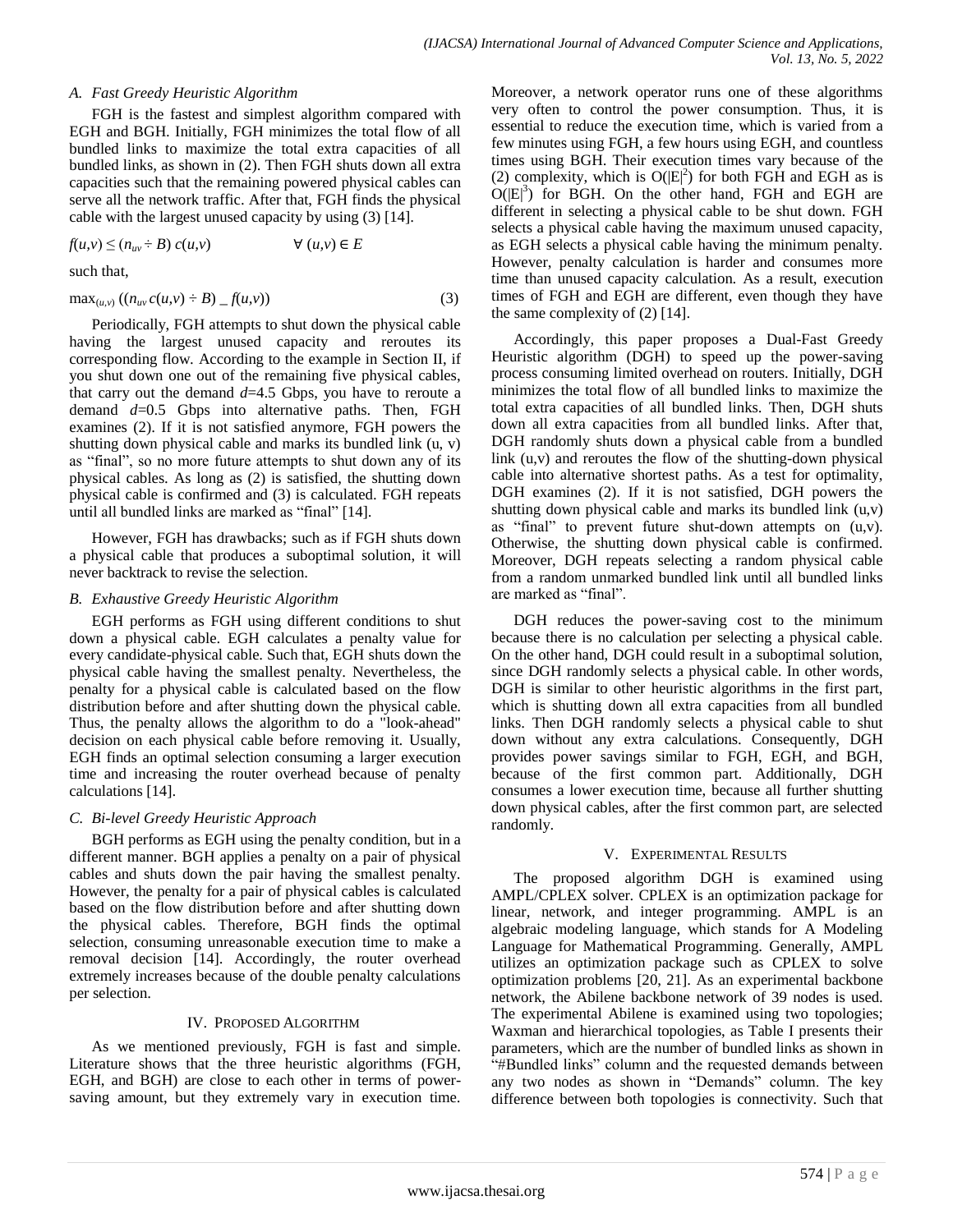### *A. Fast Greedy Heuristic Algorithm*

FGH is the fastest and simplest algorithm compared with EGH and BGH. Initially, FGH minimizes the total flow of all bundled links to maximize the total extra capacities of all bundled links, as shown in (2). Then FGH shuts down all extra capacities such that the remaining powered physical cables can serve all the network traffic. After that, FGH finds the physical cable with the largest unused capacity by using (3) [14].

$$
f(u, v) \le (n_{uv} \div B) c(u, v) \qquad \forall (u, v) \in E
$$

such that,

$$
\max_{(u,v)} ((n_{uv} c(u,v) \div B) - f(u,v))
$$
 (3)

Periodically, FGH attempts to shut down the physical cable having the largest unused capacity and reroutes its corresponding flow. According to the example in Section II, if you shut down one out of the remaining five physical cables, that carry out the demand  $d=4.5$  Gbps, you have to reroute a demand *d*=0.5 Gbps into alternative paths. Then, FGH examines (2). If it is not satisfied anymore, FGH powers the shutting down physical cable and marks its bundled link (u, v) as "final", so no more future attempts to shut down any of its physical cables. As long as (2) is satisfied, the shutting down physical cable is confirmed and (3) is calculated. FGH repeats until all bundled links are marked as "final" [14].

However, FGH has drawbacks; such as if FGH shuts down a physical cable that produces a suboptimal solution, it will never backtrack to revise the selection.

#### *B. Exhaustive Greedy Heuristic Algorithm*

EGH performs as FGH using different conditions to shut down a physical cable. EGH calculates a penalty value for every candidate-physical cable. Such that, EGH shuts down the physical cable having the smallest penalty. Nevertheless, the penalty for a physical cable is calculated based on the flow distribution before and after shutting down the physical cable. Thus, the penalty allows the algorithm to do a "look-ahead" decision on each physical cable before removing it. Usually, EGH finds an optimal selection consuming a larger execution time and increasing the router overhead because of penalty calculations [14].

# *C. Bi-level Greedy Heuristic Approach*

BGH performs as EGH using the penalty condition, but in a different manner. BGH applies a penalty on a pair of physical cables and shuts down the pair having the smallest penalty. However, the penalty for a pair of physical cables is calculated based on the flow distribution before and after shutting down the physical cables. Therefore, BGH finds the optimal selection, consuming unreasonable execution time to make a removal decision [14]. Accordingly, the router overhead extremely increases because of the double penalty calculations per selection.

# IV. PROPOSED ALGORITHM

As we mentioned previously, FGH is fast and simple. Literature shows that the three heuristic algorithms (FGH, EGH, and BGH) are close to each other in terms of powersaving amount, but they extremely vary in execution time. Moreover, a network operator runs one of these algorithms very often to control the power consumption. Thus, it is essential to reduce the execution time, which is varied from a few minutes using FGH, a few hours using EGH, and countless times using BGH. Their execution times vary because of the (2) complexity, which is  $O(|E|^2)$  for both FGH and EGH as is  $O(|E|^3)$  for BGH. On the other hand, FGH and EGH are different in selecting a physical cable to be shut down. FGH selects a physical cable having the maximum unused capacity, as EGH selects a physical cable having the minimum penalty. However, penalty calculation is harder and consumes more time than unused capacity calculation. As a result, execution times of FGH and EGH are different, even though they have the same complexity of (2) [14].

Accordingly, this paper proposes a Dual-Fast Greedy Heuristic algorithm (DGH) to speed up the power-saving process consuming limited overhead on routers. Initially, DGH minimizes the total flow of all bundled links to maximize the total extra capacities of all bundled links. Then, DGH shuts down all extra capacities from all bundled links. After that, DGH randomly shuts down a physical cable from a bundled link (u,v) and reroutes the flow of the shutting-down physical cable into alternative shortest paths. As a test for optimality, DGH examines (2). If it is not satisfied, DGH powers the shutting down physical cable and marks its bundled link (u,v) as "final" to prevent future shut-down attempts on (u,v). Otherwise, the shutting down physical cable is confirmed. Moreover, DGH repeats selecting a random physical cable from a random unmarked bundled link until all bundled links are marked as "final".

DGH reduces the power-saving cost to the minimum because there is no calculation per selecting a physical cable. On the other hand, DGH could result in a suboptimal solution, since DGH randomly selects a physical cable. In other words, DGH is similar to other heuristic algorithms in the first part, which is shutting down all extra capacities from all bundled links. Then DGH randomly selects a physical cable to shut down without any extra calculations. Consequently, DGH provides power savings similar to FGH, EGH, and BGH, because of the first common part. Additionally, DGH consumes a lower execution time, because all further shutting down physical cables, after the first common part, are selected randomly.

# V. EXPERIMENTAL RESULTS

The proposed algorithm DGH is examined using AMPL/CPLEX solver. CPLEX is an optimization package for linear, network, and integer programming. AMPL is an algebraic modeling language, which stands for A Modeling Language for Mathematical Programming. Generally, AMPL utilizes an optimization package such as CPLEX to solve optimization problems [20, 21]. As an experimental backbone network, the Abilene backbone network of 39 nodes is used. The experimental Abilene is examined using two topologies; Waxman and hierarchical topologies, as Table I presents their parameters, which are the number of bundled links as shown in "#Bundled links" column and the requested demands between any two nodes as shown in "Demands" column. The key difference between both topologies is connectivity. Such that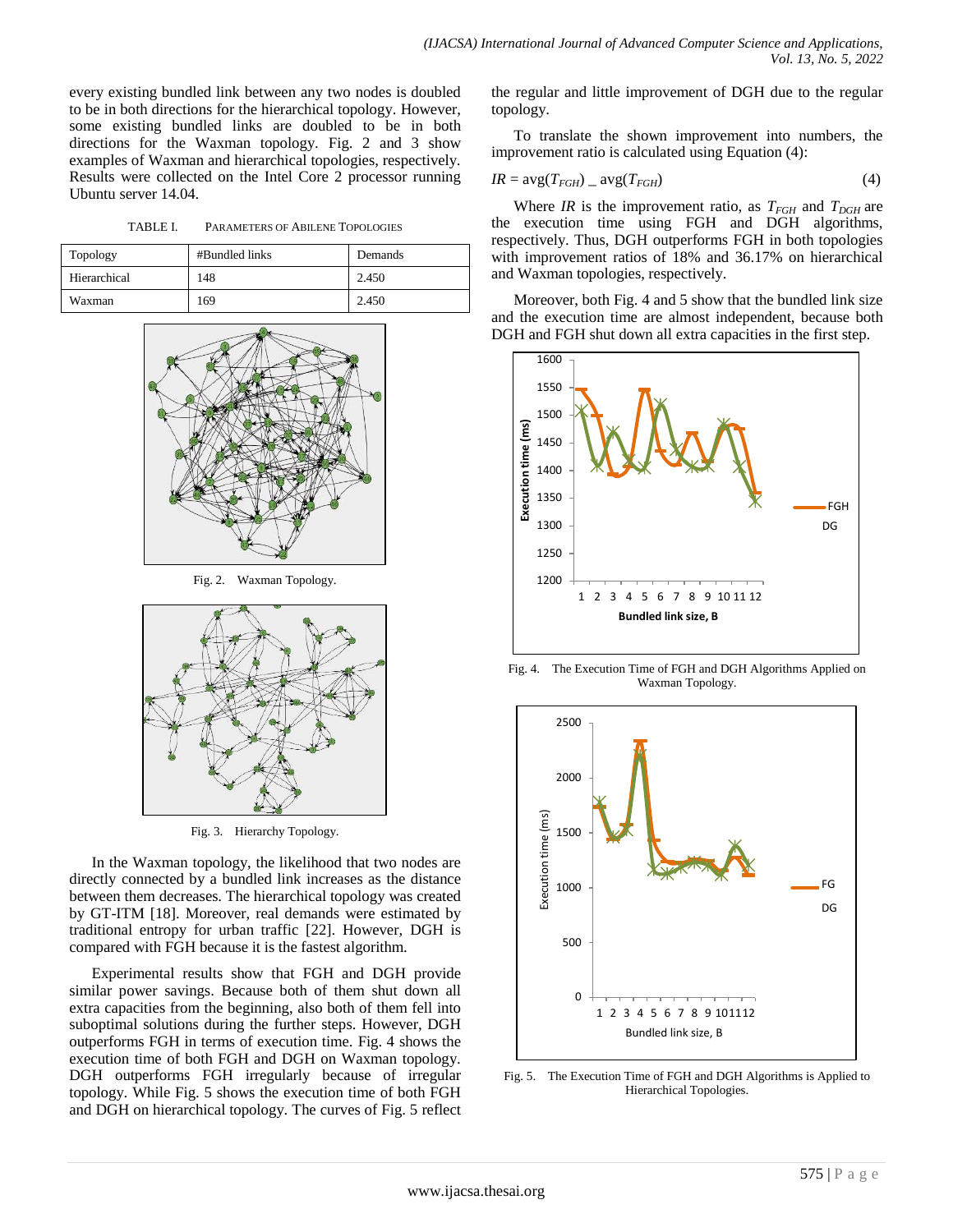every existing bundled link between any two nodes is doubled to be in both directions for the hierarchical topology. However, some existing bundled links are doubled to be in both directions for the Waxman topology. Fig. 2 and 3 show examples of Waxman and hierarchical topologies, respectively. Results were collected on the Intel Core 2 processor running Ubuntu server 14.04.

TABLE I. PARAMETERS OF ABILENE TOPOLOGIES

| Topology     | #Bundled links | Demands |
|--------------|----------------|---------|
| Hierarchical | 148            | 2.450   |
| Waxman       | 169            | 2.450   |



Fig. 2. Waxman Topology.



Fig. 3. Hierarchy Topology.

In the Waxman topology, the likelihood that two nodes are directly connected by a bundled link increases as the distance between them decreases. The hierarchical topology was created by GT-ITM [18]. Moreover, real demands were estimated by traditional entropy for urban traffic [22]. However, DGH is compared with FGH because it is the fastest algorithm.

Experimental results show that FGH and DGH provide similar power savings. Because both of them shut down all extra capacities from the beginning, also both of them fell into suboptimal solutions during the further steps. However, DGH outperforms FGH in terms of execution time. Fig. 4 shows the execution time of both FGH and DGH on Waxman topology. DGH outperforms FGH irregularly because of irregular topology. While Fig. 5 shows the execution time of both FGH and DGH on hierarchical topology. The curves of Fig. 5 reflect the regular and little improvement of DGH due to the regular topology.

To translate the shown improvement into numbers, the improvement ratio is calculated using Equation (4):

$$
IR = \text{avg}(T_{FGH}) - \text{avg}(T_{FGH}) \tag{4}
$$

Where *IR* is the improvement ratio, as  $T_{FGH}$  and  $T_{DGH}$  are the execution time using FGH and DGH algorithms, respectively. Thus, DGH outperforms FGH in both topologies with improvement ratios of 18% and 36.17% on hierarchical and Waxman topologies, respectively.

Moreover, both Fig. 4 and 5 show that the bundled link size and the execution time are almost independent, because both DGH and FGH shut down all extra capacities in the first step.



Fig. 4. The Execution Time of FGH and DGH Algorithms Applied on Waxman Topology.



Fig. 5. The Execution Time of FGH and DGH Algorithms is Applied to Hierarchical Topologies.